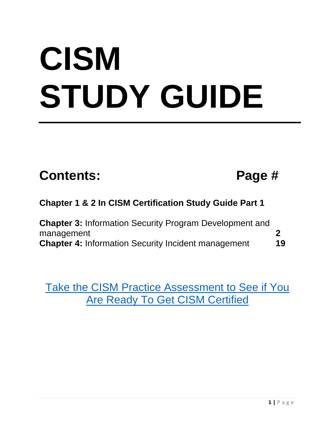# **CISM STUDY GUIDE**

# **Contents: Page #**

### **Chapter 1 & 2 In CISM Certification Study Guide Part 1**

| <b>Chapter 3: Information Security Program Development and</b> |    |
|----------------------------------------------------------------|----|
| management                                                     |    |
| <b>Chapter 4: Information Security Incident management</b>     | 19 |

## Take the CISM Practice [Assessment](http://info.phoenixts.com/cism-exam-prep-assessment) to See if You Are Ready To Get CISM [Certified](http://info.phoenixts.com/cism-exam-prep-assessment)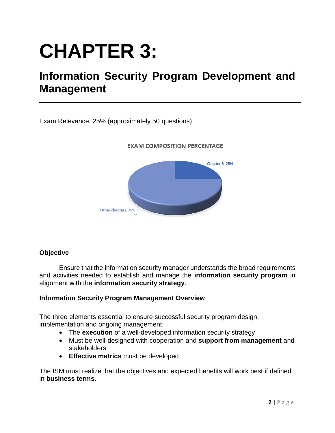# **CHAPTER 3:**

## **Information Security Program Development and Management**

Exam Relevance: 25% (approximately 50 questions)





#### **Objective**

Ensure that the information security manager understands the broad requirements and activities needed to establish and manage the **information security program** in alignment with the **information security strategy**.

#### **Information Security Program Management Overview**

The three elements essential to ensure successful security program design, implementation and ongoing management:

- The **execution** of a well-developed information security strategy
- Must be well-designed with cooperation and **support from management** and stakeholders
- **Effective metrics** must be developed

The ISM must realize that the objectives and expected benefits will work best if defined in **business terms**.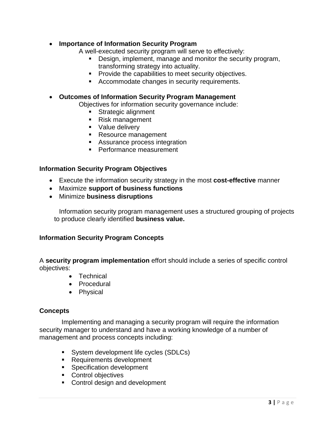#### • **Importance of Information Security Program**

- A well-executed security program will serve to effectively:
	- Design, implement, manage and monitor the security program, transforming strategy into actuality.
	- Provide the capabilities to meet security objectives.
	- Accommodate changes in security requirements.

#### • **Outcomes of Information Security Program Management**

Objectives for information security governance include:

- Strategic alignment
- Risk management
- Value delivery
- Resource management
- Assurance process integration
- Performance measurement

#### **Information Security Program Objectives**

- Execute the information security strategy in the most **cost-effective** manner
- Maximize **support of business functions**
- Minimize **business disruptions**

Information security program management uses a structured grouping of projects to produce clearly identified **business value.**

#### **Information Security Program Concepts**

A **security program implementation** effort should include a series of specific control objectives:

- Technical
- Procedural
- Physical

#### **Concepts**

Implementing and managing a security program will require the information security manager to understand and have a working knowledge of a number of management and process concepts including:

- System development life cycles (SDLCs)
- Requirements development
- Specification development
- Control objectives
- Control design and development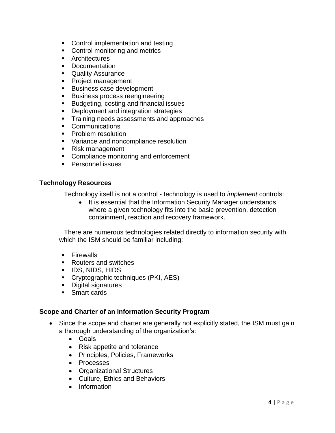- Control implementation and testing
- Control monitoring and metrics
- Architectures
- Documentation
- Quality Assurance
- Project management
- Business case development
- Business process reengineering
- Budgeting, costing and financial issues
- Deployment and integration strategies
- **Training needs assessments and approaches**
- Communications
- Problem resolution
- Variance and noncompliance resolution
- Risk management
- Compliance monitoring and enforcement
- Personnel issues

#### **Technology Resources**

Technology itself is not a control - technology is used to *implement* controls:

• It is essential that the Information Security Manager understands where a given technology fits into the basic prevention, detection containment, reaction and recovery framework.

There are numerous technologies related directly to information security with which the ISM should be familiar including:

- Firewalls
- Routers and switches
- IDS, NIDS, HIDS
- Cryptographic techniques (PKI, AES)
- Digital signatures
- Smart cards

#### **Scope and Charter of an Information Security Program**

- Since the scope and charter are generally not explicitly stated, the ISM must gain a thorough understanding of the organization's:
	- Goals
	- Risk appetite and tolerance
	- Principles, Policies, Frameworks
	- Processes
	- Organizational Structures
	- Culture, Ethics and Behaviors
	- Information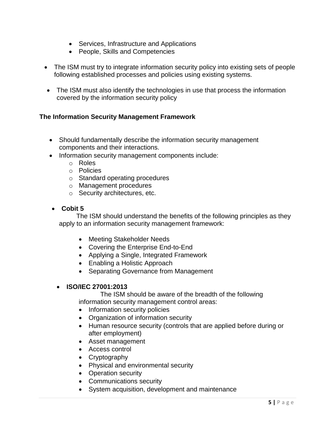- Services, Infrastructure and Applications
- People, Skills and Competencies
- The ISM must try to integrate information security policy into existing sets of people following established processes and policies using existing systems.
- The ISM must also identify the technologies in use that process the information covered by the information security policy

#### **The Information Security Management Framework**

- Should fundamentally describe the information security management components and their interactions.
- Information security management components include:
	- o Roles
	- o Policies
	- o Standard operating procedures
	- o Management procedures
	- o Security architectures, etc.
	- **Cobit 5**

The ISM should understand the benefits of the following principles as they apply to an information security management framework:

- Meeting Stakeholder Needs
- Covering the Enterprise End-to-End
- Applying a Single, Integrated Framework
- Enabling a Holistic Approach
- Separating Governance from Management

#### • **ISO/IEC 27001:2013**

The ISM should be aware of the breadth of the following information security management control areas:

- Information security policies
- Organization of information security
- Human resource security (controls that are applied before during or after employment)
- Asset management
- Access control
- Cryptography
- Physical and environmental security
- Operation security
- Communications security
- System acquisition, development and maintenance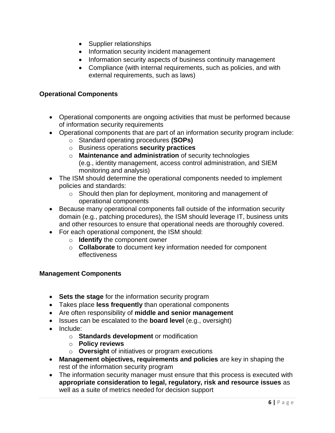- Supplier relationships
- Information security incident management
- Information security aspects of business continuity management
- Compliance (with internal requirements, such as policies, and with external requirements, such as laws)

#### **Operational Components**

- Operational components are ongoing activities that must be performed because of information security requirements
- Operational components that are part of an information security program include:
	- o Standard operating procedures **(SOPs)**
	- o Business operations **security practices**
	- o **Maintenance and administration** of security technologies (e.g., identity management, access control administration, and SIEM monitoring and analysis)
- The ISM should determine the operational components needed to implement policies and standards:
	- o Should then plan for deployment, monitoring and management of operational components
- Because many operational components fall outside of the information security domain (e.g., patching procedures), the ISM should leverage IT, business units and other resources to ensure that operational needs are thoroughly covered.
- For each operational component, the ISM should:
	- o **Identify** the component owner
	- o **Collaborate** to document key information needed for component effectiveness

#### **Management Components**

- **Sets the stage** for the information security program
- Takes place **less frequently** than operational components
- Are often responsibility of **middle and senior management**
- Issues can be escalated to the **board level** (e.g., oversight)
- Include:
	- o **Standards development** or modification
	- o **Policy reviews**
	- o **Oversight** of initiatives or program executions
- **Management objectives, requirements and policies** are key in shaping the rest of the information security program
- The information security manager must ensure that this process is executed with **appropriate consideration to legal, regulatory, risk and resource issues** as well as a suite of metrics needed for decision support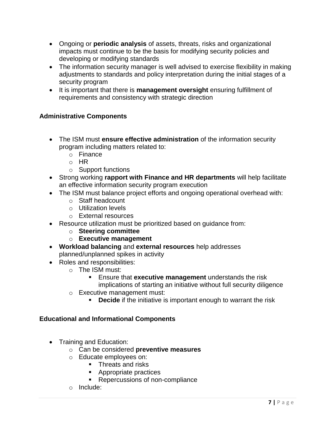- Ongoing or **periodic analysis** of assets, threats, risks and organizational impacts must continue to be the basis for modifying security policies and developing or modifying standards
- The information security manager is well advised to exercise flexibility in making adjustments to standards and policy interpretation during the initial stages of a security program
- It is important that there is **management oversight** ensuring fulfillment of requirements and consistency with strategic direction

#### **Administrative Components**

- The ISM must **ensure effective administration** of the information security program including matters related to:
	- o Finance
	- o HR
	- o Support functions
- Strong working **rapport with Finance and HR departments** will help facilitate an effective information security program execution
- The ISM must balance project efforts and ongoing operational overhead with:
	- o Staff headcount
	- o Utilization levels
	- o External resources
- Resource utilization must be prioritized based on guidance from:
	- o **Steering committee**
	- o **Executive management**
- **Workload balancing** and **external resources** help addresses planned/unplanned spikes in activity
- Roles and responsibilities:
	- o The ISM must:
		- **Ensure that executive management** understands the risk implications of starting an initiative without full security diligence
	- o Executive management must:
		- **Decide** if the initiative is important enough to warrant the risk

#### **Educational and Informational Components**

- Training and Education:
	- o Can be considered **preventive measures**
	- o Educate employees on:
		- Threats and risks
		- Appropriate practices
		- Repercussions of non-compliance
	- o Include: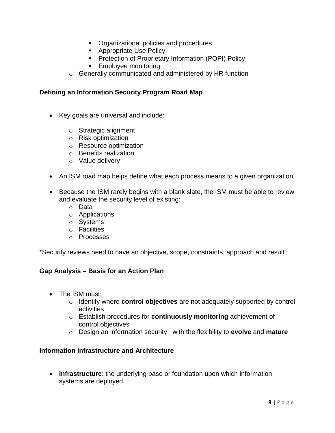- Organizational policies and procedures
- Appropriate Use Policy
- Protection of Proprietary Information (POPI) Policy
- Employee monitoring
- o Generally communicated and administered by HR function

#### **Defining an Information Security Program Road Map**

- Key goals are universal and include:
	- o Strategic alignment
	- o Risk optimization
	- o Resource optimization
	- o Benefits realization
	- o Value delivery
- An ISM road map helps define what each process means to a given organization.
- Because the ISM rarely begins with a blank slate, the ISM must be able to review and evaluate the security level of existing:
	- o Data
	- o Applications
	- o Systems
	- o Facilities
	- o Processes

\*Security reviews need to have an objective, scope, constraints, approach and result

#### **Gap Analysis – Basis for an Action Plan**

- The ISM must:
	- o Identify where **control objectives** are not adequately supported by control activities
	- o Establish procedures for **continuously monitoring** achievement of control objectives
	- o Design an information security with the flexibility to **evolve** and **mature**

#### **Information Infrastructure and Architecture**

• **Infrastructure**: the underlying base or foundation upon which information systems are deployed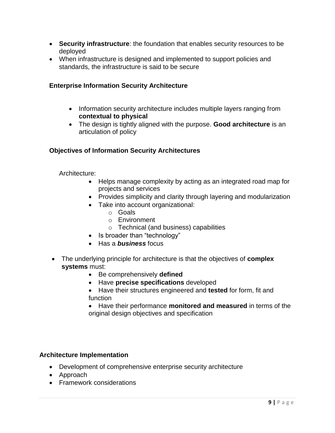- **Security infrastructure**: the foundation that enables security resources to be deployed
- When infrastructure is designed and implemented to support policies and standards, the infrastructure is said to be secure

#### **Enterprise Information Security Architecture**

- Information security architecture includes multiple layers ranging from **contextual to physical**
- The design is tightly aligned with the purpose. **Good architecture** is an articulation of policy

#### **Objectives of Information Security Architectures**

#### Architecture:

- Helps manage complexity by acting as an integrated road map for projects and services
- Provides simplicity and clarity through layering and modularization
- Take into account organizational:
	- o Goals
	- o Environment
	- o Technical (and business) capabilities
- Is broader than "technology"
- Has a *business* focus
- The underlying principle for architecture is that the objectives of **complex systems** must:
	- Be comprehensively **defined**
	- Have **precise specifications** developed
	- Have their structures engineered and **tested** for form, fit and function
	- Have their performance **monitored and measured** in terms of the original design objectives and specification

#### **Architecture Implementation**

- Development of comprehensive enterprise security architecture
- Approach
- Framework considerations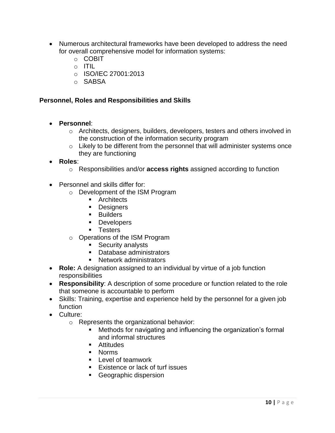- Numerous architectural frameworks have been developed to address the need for overall comprehensive model for information systems:
	- o COBIT
	- $\circ$  ITIL
	- o ISO/IEC 27001:2013
	- o SABSA

#### **Personnel, Roles and Responsibilities and Skills**

- **Personnel**:
	- o Architects, designers, builders, developers, testers and others involved in the construction of the information security program
	- $\circ$  Likely to be different from the personnel that will administer systems once they are functioning
- **Roles**:
	- o Responsibilities and/or **access rights** assigned according to function
- Personnel and skills differ for:
	- o Development of the ISM Program
		- Architects
		- **•** Designers
		- Builders
		- Developers
		- Testers
	- o Operations of the ISM Program
		- Security analysts
		- Database administrators
		- Network administrators
- **Role:** A designation assigned to an individual by virtue of a job function responsibilities
- **Responsibility**: A description of some procedure or function related to the role that someone is accountable to perform
- Skills: Training, expertise and experience held by the personnel for a given job function
- Culture:
	- o Represents the organizational behavior:
		- Methods for navigating and influencing the organization's formal and informal structures
		- Attitudes
		- Norms
		- **E** Level of teamwork
		- Existence or lack of turf issues
		- Geographic dispersion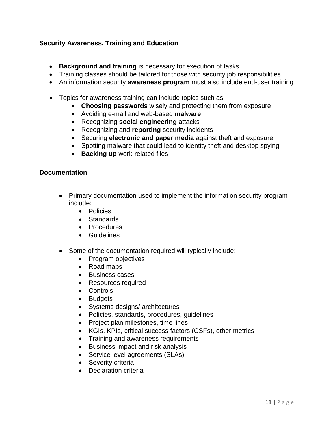#### **Security Awareness, Training and Education**

- **Background and training** is necessary for execution of tasks
- Training classes should be tailored for those with security job responsibilities
- An information security **awareness program** must also include end-user training
- Topics for awareness training can include topics such as:
	- **Choosing passwords** wisely and protecting them from exposure
	- Avoiding e-mail and web-based **malware**
	- Recognizing **social engineering** attacks
	- Recognizing and **reporting** security incidents
	- Securing **electronic and paper media** against theft and exposure
	- Spotting malware that could lead to identity theft and desktop spying
	- **Backing up** work-related files

#### **Documentation**

- Primary documentation used to implement the information security program include:
	- Policies
	- Standards
	- Procedures
	- Guidelines
- Some of the documentation required will typically include:
	- Program objectives
	- Road maps
	- Business cases
	- Resources required
	- Controls
	- Budgets
	- Systems designs/ architectures
	- Policies, standards, procedures, guidelines
	- Project plan milestones, time lines
	- KGIs, KPIs, critical success factors (CSFs), other metrics
	- Training and awareness requirements
	- Business impact and risk analysis
	- Service level agreements (SLAs)
	- Severity criteria
	- Declaration criteria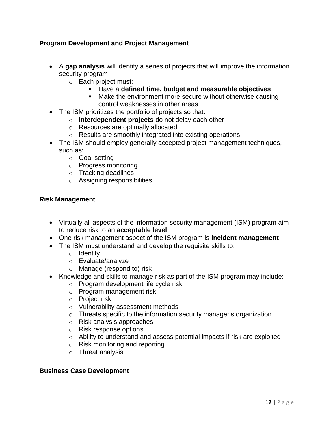#### **Program Development and Project Management**

- A **gap analysis** will identify a series of projects that will improve the information security program
	- o Each project must:
		- Have a **defined time, budget and measurable objectives**
		- Make the environment more secure without otherwise causing control weaknesses in other areas
- The ISM prioritizes the portfolio of projects so that:
	- o **Interdependent projects** do not delay each other
	- o Resources are optimally allocated
	- o Results are smoothly integrated into existing operations
- The ISM should employ generally accepted project management techniques, such as:
	- o Goal setting
	- o Progress monitoring
	- o Tracking deadlines
	- o Assigning responsibilities

#### **Risk Management**

- Virtually all aspects of the information security management (ISM) program aim to reduce risk to an **acceptable level**
- One risk management aspect of the ISM program is **incident management**
- The ISM must understand and develop the requisite skills to:
	- o Identify
	- o Evaluate/analyze
	- o Manage (respond to) risk
- Knowledge and skills to manage risk as part of the ISM program may include:
	- o Program development life cycle risk
	- o Program management risk
	- o Project risk
	- o Vulnerability assessment methods
	- $\circ$  Threats specific to the information security manager's organization
	- o Risk analysis approaches
	- o Risk response options
	- o Ability to understand and assess potential impacts if risk are exploited
	- o Risk monitoring and reporting
	- o Threat analysis

#### **Business Case Development**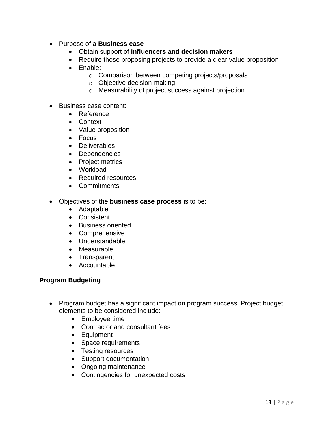- Purpose of a **Business case**
	- Obtain support of **influencers and decision makers**
	- Require those proposing projects to provide a clear value proposition
	- Enable:
		- o Comparison between competing projects/proposals
		- o Objective decision-making
		- o Measurability of project success against projection
- Business case content:
	- Reference
	- Context
	- Value proposition
	- Focus
	- Deliverables
	- Dependencies
	- Project metrics
	- Workload
	- Required resources
	- Commitments
- Objectives of the **business case process** is to be:
	- Adaptable
	- Consistent
	- Business oriented
	- Comprehensive
	- Understandable
	- Measurable
	- Transparent
	- Accountable

#### **Program Budgeting**

- Program budget has a significant impact on program success. Project budget elements to be considered include:
	- Employee time
	- Contractor and consultant fees
	- Equipment
	- Space requirements
	- Testing resources
	- Support documentation
	- Ongoing maintenance
	- Contingencies for unexpected costs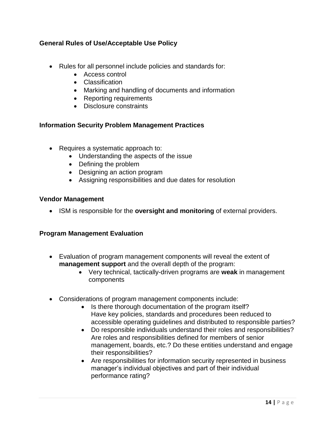#### **General Rules of Use/Acceptable Use Policy**

- Rules for all personnel include policies and standards for:
	- Access control
	- Classification
	- Marking and handling of documents and information
	- Reporting requirements
	- Disclosure constraints

#### **Information Security Problem Management Practices**

- Requires a systematic approach to:
	- Understanding the aspects of the issue
	- Defining the problem
	- Designing an action program
	- Assigning responsibilities and due dates for resolution

#### **Vendor Management**

• ISM is responsible for the **oversight and monitoring** of external providers.

#### **Program Management Evaluation**

- Evaluation of program management components will reveal the extent of **management support** and the overall depth of the program:
	- Very technical, tactically-driven programs are **weak** in management components
- Considerations of program management components include:
	- Is there thorough documentation of the program itself? Have key policies, standards and procedures been reduced to accessible operating guidelines and distributed to responsible parties?
	- Do responsible individuals understand their roles and responsibilities? Are roles and responsibilities defined for members of senior management, boards, etc.? Do these entities understand and engage their responsibilities?
	- Are responsibilities for information security represented in business manager's individual objectives and part of their individual performance rating?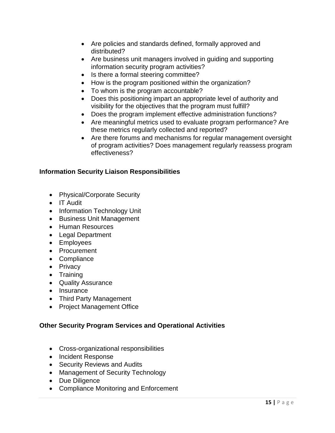- Are policies and standards defined, formally approved and distributed?
- Are business unit managers involved in guiding and supporting information security program activities?
- Is there a formal steering committee?
- How is the program positioned within the organization?
- To whom is the program accountable?
- Does this positioning impart an appropriate level of authority and visibility for the objectives that the program must fulfill?
- Does the program implement effective administration functions?
- Are meaningful metrics used to evaluate program performance? Are these metrics regularly collected and reported?
- Are there forums and mechanisms for regular management oversight of program activities? Does management regularly reassess program effectiveness?

#### **Information Security Liaison Responsibilities**

- Physical/Corporate Security
- IT Audit
- Information Technology Unit
- Business Unit Management
- Human Resources
- Legal Department
- Employees
- Procurement
- Compliance
- Privacy
- Training
- Quality Assurance
- Insurance
- Third Party Management
- Project Management Office

#### **Other Security Program Services and Operational Activities**

- Cross-organizational responsibilities
- Incident Response
- Security Reviews and Audits
- Management of Security Technology
- Due Diligence
- Compliance Monitoring and Enforcement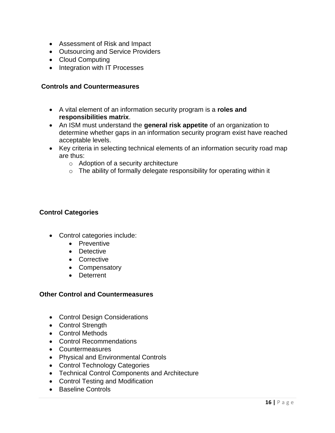- Assessment of Risk and Impact
- Outsourcing and Service Providers
- Cloud Computing
- Integration with IT Processes

#### **Controls and Countermeasures**

- A vital element of an information security program is a **roles and responsibilities matrix**.
- An ISM must understand the **general risk appetite** of an organization to determine whether gaps in an information security program exist have reached acceptable levels.
- Key criteria in selecting technical elements of an information security road map are thus:
	- o Adoption of a security architecture
	- o The ability of formally delegate responsibility for operating within it

#### **Control Categories**

- Control categories include:
	- Preventive
	- Detective
	- Corrective
	- Compensatory
	- Deterrent

#### **Other Control and Countermeasures**

- Control Design Considerations
- Control Strength
- Control Methods
- Control Recommendations
- Countermeasures
- Physical and Environmental Controls
- Control Technology Categories
- Technical Control Components and Architecture
- Control Testing and Modification
- Baseline Controls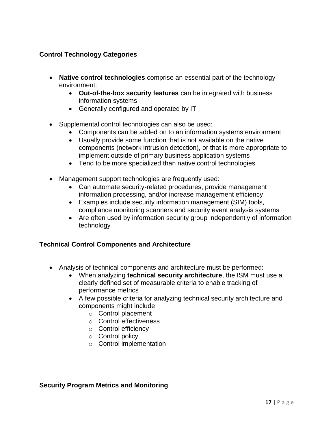#### **Control Technology Categories**

- **Native control technologies** comprise an essential part of the technology environment:
	- **Out-of-the-box security features** can be integrated with business information systems
	- Generally configured and operated by IT
- Supplemental control technologies can also be used:
	- Components can be added on to an information systems environment
	- Usually provide some function that is not available on the native components (network intrusion detection), or that is more appropriate to implement outside of primary business application systems
	- Tend to be more specialized than native control technologies
- Management support technologies are frequently used:
	- Can automate security-related procedures, provide management information processing, and/or increase management efficiency
	- Examples include security information management (SIM) tools, compliance monitoring scanners and security event analysis systems
	- Are often used by information security group independently of information technology

#### **Technical Control Components and Architecture**

- Analysis of technical components and architecture must be performed:
	- When analyzing **technical security architecture**, the ISM must use a clearly defined set of measurable criteria to enable tracking of performance metrics
	- A few possible criteria for analyzing technical security architecture and components might include
		- o Control placement
		- o Control effectiveness
		- o Control efficiency
		- o Control policy
		- o Control implementation

#### **Security Program Metrics and Monitoring**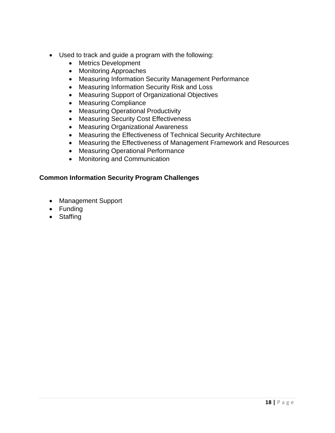- Used to track and guide a program with the following:
	- Metrics Development
	- Monitoring Approaches
	- Measuring Information Security Management Performance
	- Measuring Information Security Risk and Loss
	- Measuring Support of Organizational Objectives
	- Measuring Compliance
	- Measuring Operational Productivity
	- Measuring Security Cost Effectiveness
	- Measuring Organizational Awareness
	- Measuring the Effectiveness of Technical Security Architecture
	- Measuring the Effectiveness of Management Framework and Resources
	- Measuring Operational Performance
	- Monitoring and Communication

#### **Common Information Security Program Challenges**

- Management Support
- Funding
- Staffing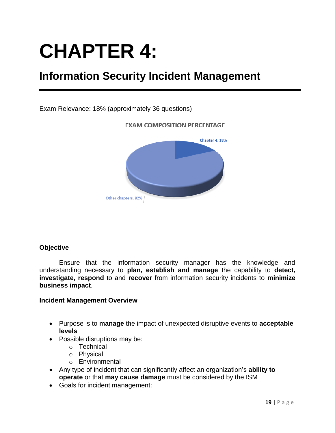# **CHAPTER 4:**

## **Information Security Incident Management**

Exam Relevance: 18% (approximately 36 questions)

# **Chapter 4, 18%** Other chapters, 82%

#### **EXAM COMPOSITION PERCENTAGE**

#### **Objective**

Ensure that the information security manager has the knowledge and understanding necessary to **plan, establish and manage** the capability to **detect, investigate, respond** to and **recover** from information security incidents to **minimize business impact**.

#### **Incident Management Overview**

- Purpose is to **manage** the impact of unexpected disruptive events to **acceptable levels**
- Possible disruptions may be:
	- o Technical
	- o Physical
	- o Environmental
- Any type of incident that can significantly affect an organization's **ability to operate** or that **may cause damage** must be considered by the ISM
- Goals for incident management: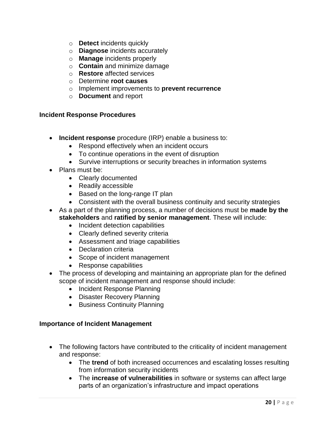- o **Detect** incidents quickly
- o **Diagnose** incidents accurately
- o **Manage** incidents properly
- o **Contain** and minimize damage
- o **Restore** affected services
- o Determine **root causes**
- o Implement improvements to **prevent recurrence**
- o **Document** and report

#### **Incident Response Procedures**

- **Incident response** procedure (IRP) enable a business to:
	- Respond effectively when an incident occurs
	- To continue operations in the event of disruption
	- Survive interruptions or security breaches in information systems
- Plans must be:
	- Clearly documented
	- Readily accessible
	- Based on the long-range IT plan
	- Consistent with the overall business continuity and security strategies
- As a part of the planning process, a number of decisions must be **made by the stakeholders** and **ratified by senior management**. These will include:
	- Incident detection capabilities
	- Clearly defined severity criteria
	- Assessment and triage capabilities
	- Declaration criteria
	- Scope of incident management
	- Response capabilities
- The process of developing and maintaining an appropriate plan for the defined scope of incident management and response should include:
	- Incident Response Planning
	- Disaster Recovery Planning
	- Business Continuity Planning

#### **Importance of Incident Management**

- The following factors have contributed to the criticality of incident management and response:
	- The **trend** of both increased occurrences and escalating losses resulting from information security incidents
	- The **increase of vulnerabilities** in software or systems can affect large parts of an organization's infrastructure and impact operations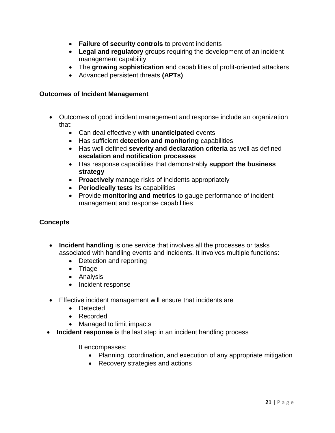- **Failure of security controls** to prevent incidents
- **Legal and regulatory** groups requiring the development of an incident management capability
- The **growing sophistication** and capabilities of profit-oriented attackers
- Advanced persistent threats **(APTs)**

#### **Outcomes of Incident Management**

- Outcomes of good incident management and response include an organization that:
	- Can deal effectively with **unanticipated** events
	- Has sufficient **detection and monitoring** capabilities
	- Has well defined **severity and declaration criteria** as well as defined **escalation and notification processes**
	- Has response capabilities that demonstrably **support the business strategy**
	- **Proactively** manage risks of incidents appropriately
	- **Periodically tests** its capabilities
	- Provide **monitoring and metrics** to gauge performance of incident management and response capabilities

#### **Concepts**

- **Incident handling** is one service that involves all the processes or tasks associated with handling events and incidents. It involves multiple functions:
	- Detection and reporting
	- Triage
	- Analysis
	- Incident response
- Effective incident management will ensure that incidents are
	- Detected
	- Recorded
	- Managed to limit impacts
- **Incident response** is the last step in an incident handling process

It encompasses:

- Planning, coordination, and execution of any appropriate mitigation
- Recovery strategies and actions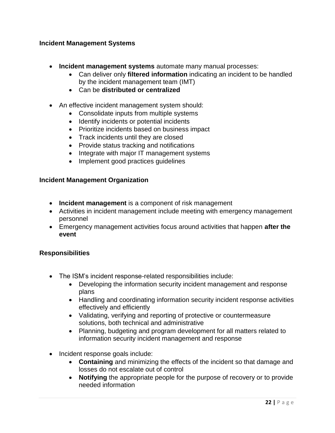#### **Incident Management Systems**

- **Incident management systems** automate many manual processes:
	- Can deliver only **filtered information** indicating an incident to be handled by the incident management team (IMT)
	- Can be **distributed or centralized**
- An effective incident management system should:
	- Consolidate inputs from multiple systems
	- Identify incidents or potential incidents
	- Prioritize incidents based on business impact
	- Track incidents until they are closed
	- Provide status tracking and notifications
	- Integrate with major IT management systems
	- Implement good practices quidelines

#### **Incident Management Organization**

- **Incident management** is a component of risk management
- Activities in incident management include meeting with emergency management personnel
- Emergency management activities focus around activities that happen **after the event**

#### **Responsibilities**

- The ISM's incident response-related responsibilities include:
	- Developing the information security incident management and response plans
	- Handling and coordinating information security incident response activities effectively and efficiently
	- Validating, verifying and reporting of protective or countermeasure solutions, both technical and administrative
	- Planning, budgeting and program development for all matters related to information security incident management and response
- Incident response goals include:
	- **Containing** and minimizing the effects of the incident so that damage and losses do not escalate out of control
	- **Notifying** the appropriate people for the purpose of recovery or to provide needed information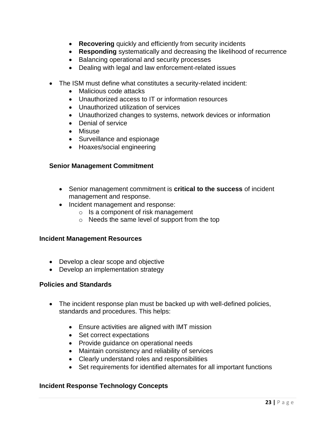- **Recovering** quickly and efficiently from security incidents
- **Responding** systematically and decreasing the likelihood of recurrence
- Balancing operational and security processes
- Dealing with legal and law enforcement-related issues
- The ISM must define what constitutes a security-related incident:
	- Malicious code attacks
	- Unauthorized access to IT or information resources
	- Unauthorized utilization of services
	- Unauthorized changes to systems, network devices or information
	- Denial of service
	- Misuse
	- Surveillance and espionage
	- Hoaxes/social engineering

#### **Senior Management Commitment**

- Senior management commitment is **critical to the success** of incident management and response.
- Incident management and response:
	- o Is a component of risk management
	- o Needs the same level of support from the top

#### **Incident Management Resources**

- Develop a clear scope and objective
- Develop an implementation strategy

#### **Policies and Standards**

- The incident response plan must be backed up with well-defined policies, standards and procedures. This helps:
	- Ensure activities are aligned with IMT mission
	- Set correct expectations
	- Provide guidance on operational needs
	- Maintain consistency and reliability of services
	- Clearly understand roles and responsibilities
	- Set requirements for identified alternates for all important functions

#### **Incident Response Technology Concepts**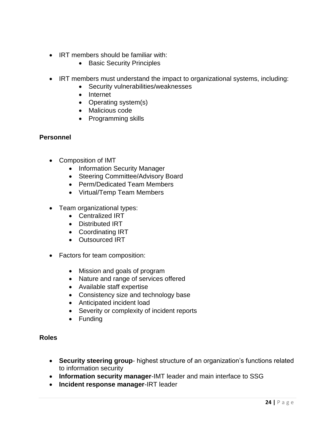- IRT members should be familiar with:
	- Basic Security Principles
- IRT members must understand the impact to organizational systems, including:
	- Security vulnerabilities/weaknesses
	- Internet
	- Operating system(s)
	- Malicious code
	- Programming skills

#### **Personnel**

- Composition of IMT
	- Information Security Manager
	- Steering Committee/Advisory Board
	- Perm/Dedicated Team Members
	- Virtual/Temp Team Members
- Team organizational types:
	- Centralized IRT
	- Distributed IRT
	- Coordinating IRT
	- Outsourced IRT
- Factors for team composition:
	- Mission and goals of program
	- Nature and range of services offered
	- Available staff expertise
	- Consistency size and technology base
	- Anticipated incident load
	- Severity or complexity of incident reports
	- Funding

#### **Roles**

- **Security steering group** highest structure of an organization's functions related to information security
- **Information security manager**-IMT leader and main interface to SSG
- **Incident response manager**-IRT leader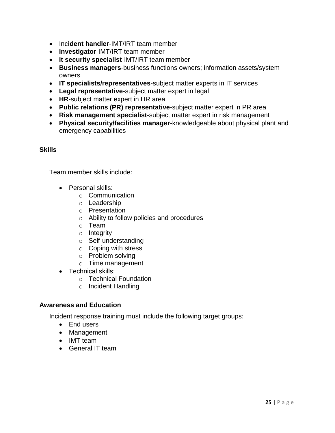- Inc**ident handler**-IMT/IRT team member
- **Investigator**-IMT/IRT team member
- **It security specialist**-IMT/IRT team member
- **Business managers**-business functions owners; information assets/system owners
- **IT specialists/representatives**-subject matter experts in IT services
- **Legal representative**-subject matter expert in legal
- **HR**-subject matter expert in HR area
- **Public relations (PR) representative**-subject matter expert in PR area
- **Risk management specialist**-subject matter expert in risk management
- **Physical security/facilities manager**-knowledgeable about physical plant and emergency capabilities

#### **Skills**

Team member skills include:

- Personal skills:
	- o Communication
	- o Leadership
	- o Presentation
	- o Ability to follow policies and procedures
	- o Team
	- o Integrity
	- o Self-understanding
	- o Coping with stress
	- o Problem solving
	- o Time management
- Technical skills:
	- o Technical Foundation
	- o Incident Handling

#### **Awareness and Education**

Incident response training must include the following target groups:

- End users
- Management
- IMT team
- General IT team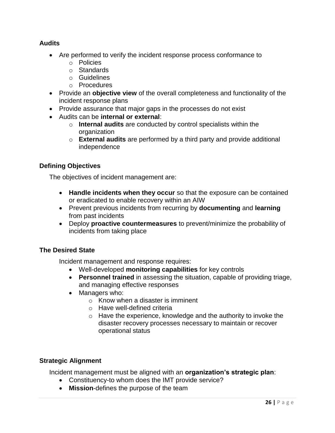#### **Audits**

- Are performed to verify the incident response process conformance to
	- o Policies
	- o Standards
	- o Guidelines
	- o Procedures
- Provide an **objective view** of the overall completeness and functionality of the incident response plans
- Provide assurance that major gaps in the processes do not exist
- Audits can be **internal or external**:
	- o **Internal audits** are conducted by control specialists within the organization
	- o **External audits** are performed by a third party and provide additional independence

#### **Defining Objectives**

The objectives of incident management are:

- **Handle incidents when they occur** so that the exposure can be contained or eradicated to enable recovery within an AIW
- Prevent previous incidents from recurring by **documenting** and **learning** from past incidents
- Deploy **proactive countermeasures** to prevent/minimize the probability of incidents from taking place

#### **The Desired State**

Incident management and response requires:

- Well-developed **monitoring capabilities** for key controls
- **Personnel trained** in assessing the situation, capable of providing triage, and managing effective responses
- Managers who:
	- $\circ$  Know when a disaster is imminent
	- o Have well-defined criteria
	- o Have the experience, knowledge and the authority to invoke the disaster recovery processes necessary to maintain or recover operational status

#### **Strategic Alignment**

Incident management must be aligned with an **organization's strategic plan**:

- Constituency-to whom does the IMT provide service?
- **Mission**-defines the purpose of the team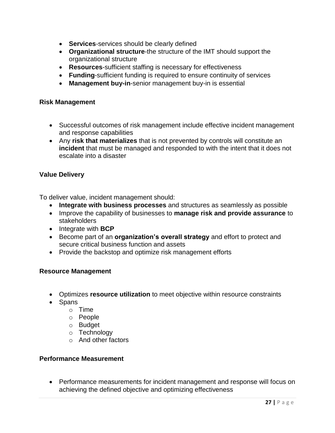- **Services**-services should be clearly defined
- **Organizational structure**-the structure of the IMT should support the organizational structure
- **Resources**-sufficient staffing is necessary for effectiveness
- **Funding**-sufficient funding is required to ensure continuity of services
- **Management buy-in**-senior management buy-in is essential

#### **Risk Management**

- Successful outcomes of risk management include effective incident management and response capabilities
- Any **risk that materializes** that is not prevented by controls will constitute an **incident** that must be managed and responded to with the intent that it does not escalate into a disaster

#### **Value Delivery**

To deliver value, incident management should:

- **Integrate with business processes** and structures as seamlessly as possible
- Improve the capability of businesses to **manage risk and provide assurance** to stakeholders
- Integrate with **BCP**
- Become part of an **organization's overall strategy** and effort to protect and secure critical business function and assets
- Provide the backstop and optimize risk management efforts

#### **Resource Management**

- Optimizes **resource utilization** to meet objective within resource constraints
- Spans
	- o Time
	- o People
	- o Budget
	- o Technology
	- o And other factors

#### **Performance Measurement**

• Performance measurements for incident management and response will focus on achieving the defined objective and optimizing effectiveness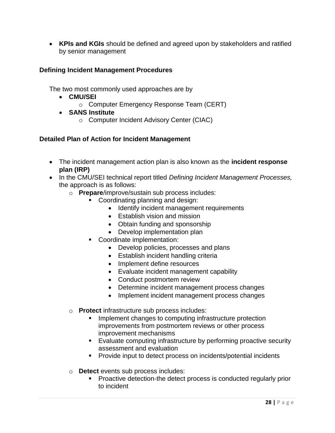• **KPIs and KGIs** should be defined and agreed upon by stakeholders and ratified by senior management

#### **Defining Incident Management Procedures**

The two most commonly used approaches are by

- **CMU/SEI** 
	- o Computer Emergency Response Team (CERT)
- **SANS Institute**
	- o Computer Incident Advisory Center (CIAC)

#### **Detailed Plan of Action for Incident Management**

- The incident management action plan is also known as the **incident response plan (IRP)**
- In the CMU/SEI technical report titled *Defining Incident Management Processes,*  the approach is as follows:
	- o **Prepare**/improve/sustain sub process includes:
		- Coordinating planning and design:
			- Identify incident management requirements
			- Establish vision and mission
			- Obtain funding and sponsorship
			- Develop implementation plan
		- Coordinate implementation:
			- Develop policies, processes and plans
			- Establish incident handling criteria
			- Implement define resources
			- Evaluate incident management capability
			- Conduct postmortem review
			- Determine incident management process changes
			- Implement incident management process changes
	- o **Protect** infrastructure sub process includes:
		- Implement changes to computing infrastructure protection improvements from postmortem reviews or other process improvement mechanisms
		- Evaluate computing infrastructure by performing proactive security assessment and evaluation
		- Provide input to detect process on incidents/potential incidents
	- o **Detect** events sub process includes:
		- Proactive detection-the detect process is conducted regularly prior to incident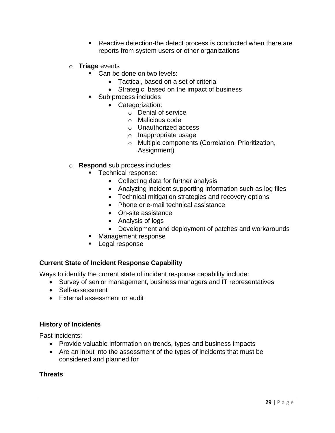- Reactive detection-the detect process is conducted when there are reports from system users or other organizations
- o **Triage** events
	- Can be done on two levels:
		- Tactical, based on a set of criteria
		- Strategic, based on the impact of business
	- Sub process includes
		- Categorization:
			- o Denial of service
			- o Malicious code
			- o Unauthorized access
			- o Inappropriate usage
			- o Multiple components (Correlation, Prioritization, Assignment)
- o **Respond** sub process includes:
	- **•** Technical response:
		- Collecting data for further analysis
		- Analyzing incident supporting information such as log files
		- Technical mitigation strategies and recovery options
		- Phone or e-mail technical assistance
		- On-site assistance
		- Analysis of logs
		- Development and deployment of patches and workarounds
	- Management response
	- Legal response

#### **Current State of Incident Response Capability**

Ways to identify the current state of incident response capability include:

- Survey of senior management, business managers and IT representatives
- Self-assessment
- External assessment or audit

#### **History of Incidents**

Past incidents:

- Provide valuable information on trends, types and business impacts
- Are an input into the assessment of the types of incidents that must be considered and planned for

#### **Threats**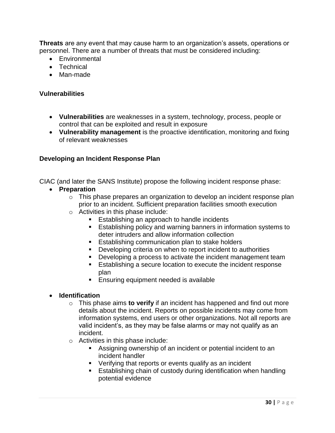**Threats** are any event that may cause harm to an organization's assets, operations or personnel. There are a number of threats that must be considered including:

- Environmental
- Technical
- Man-made

#### **Vulnerabilities**

- **Vulnerabilities** are weaknesses in a system, technology, process, people or control that can be exploited and result in exposure
- **Vulnerability management** is the proactive identification, monitoring and fixing of relevant weaknesses

#### **Developing an Incident Response Plan**

CIAC (and later the SANS Institute) propose the following incident response phase:

- **Preparation**
	- o This phase prepares an organization to develop an incident response plan prior to an incident. Sufficient preparation facilities smooth execution
	- o Activities in this phase include:
		- Establishing an approach to handle incidents
		- Establishing policy and warning banners in information systems to deter intruders and allow information collection
		- Establishing communication plan to stake holders
		- Developing criteria on when to report incident to authorities
		- Developing a process to activate the incident management team
		- Establishing a secure location to execute the incident response plan
		- Ensuring equipment needed is available

#### • **Identification**

- o This phase aims **to verify** if an incident has happened and find out more details about the incident. Reports on possible incidents may come from information systems, end users or other organizations. Not all reports are valid incident's, as they may be false alarms or may not qualify as an incident.
- o Activities in this phase include:
	- Assigning ownership of an incident or potential incident to an incident handler
	- Verifying that reports or events qualify as an incident
	- Establishing chain of custody during identification when handling potential evidence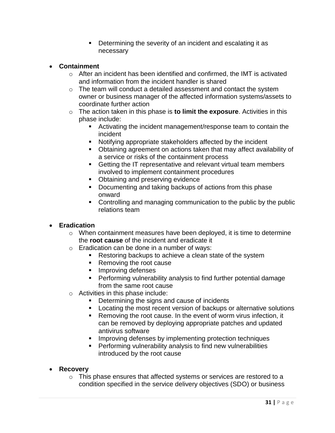■ Determining the severity of an incident and escalating it as necessary

#### • **Containment**

- $\circ$  After an incident has been identified and confirmed, the IMT is activated and information from the incident handler is shared
- $\circ$  The team will conduct a detailed assessment and contact the system owner or business manager of the affected information systems/assets to coordinate further action
- o The action taken in this phase is **to limit the exposure**. Activities in this phase include:
	- Activating the incident management/response team to contain the incident
	- Notifying appropriate stakeholders affected by the incident
	- Obtaining agreement on actions taken that may affect availability of a service or risks of the containment process
	- Getting the IT representative and relevant virtual team members involved to implement containment procedures
	- Obtaining and preserving evidence
	- Documenting and taking backups of actions from this phase onward
	- Controlling and managing communication to the public by the public relations team

#### • **Eradication**

- $\circ$  When containment measures have been deployed, it is time to determine the **root cause** of the incident and eradicate it
- o Eradication can be done in a number of ways:
	- Restoring backups to achieve a clean state of the system
	- Removing the root cause
	- **·** Improving defenses
	- Performing vulnerability analysis to find further potential damage from the same root cause
- o Activities in this phase include:
	- Determining the signs and cause of incidents
	- Locating the most recent version of backups or alternative solutions
	- Removing the root cause. In the event of worm virus infection, it can be removed by deploying appropriate patches and updated antivirus software
	- **EXECT** Improving defenses by implementing protection techniques
	- Performing vulnerability analysis to find new vulnerabilities introduced by the root cause
- **Recovery**
	- o This phase ensures that affected systems or services are restored to a condition specified in the service delivery objectives (SDO) or business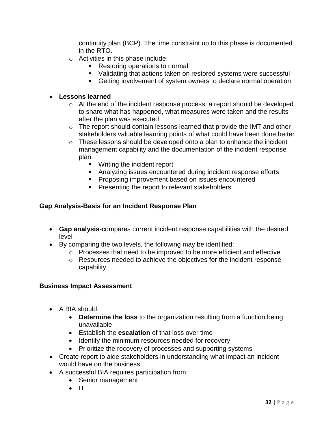continuity plan (BCP). The time constraint up to this phase is documented in the RTO.

- o Activities in this phase include:
	- Restoring operations to normal
	- Validating that actions taken on restored systems were successful
	- Getting involvement of system owners to declare normal operation

#### • **Lessons learned**

- o At the end of the incident response process, a report should be developed to share what has happened, what measures were taken and the results after the plan was executed
- $\circ$  The report should contain lessons learned that provide the IMT and other stakeholders valuable learning points of what could have been done better
- o These lessons should be developed onto a plan to enhance the incident management capability and the documentation of the incident response plan.
	- Writing the incident report
	- Analyzing issues encountered during incident response efforts
	- Proposing improvement based on issues encountered
	- **•** Presenting the report to relevant stakeholders

#### **Gap Analysis-Basis for an Incident Response Plan**

- **Gap analysis**-compares current incident response capabilities with the desired level
- By comparing the two levels, the following may be identified:
	- o Processes that need to be improved to be more efficient and effective
	- o Resources needed to achieve the objectives for the incident response capability

#### **Business Impact Assessment**

- A BIA should:
	- **Determine the loss** to the organization resulting from a function being unavailable
	- Establish the **escalation** of that loss over time
	- Identify the minimum resources needed for recovery
	- Prioritize the recovery of processes and supporting systems
- Create report to aide stakeholders in understanding what impact an incident would have on the business
- A successful BIA requires participation from:
	- Senior management
	- IT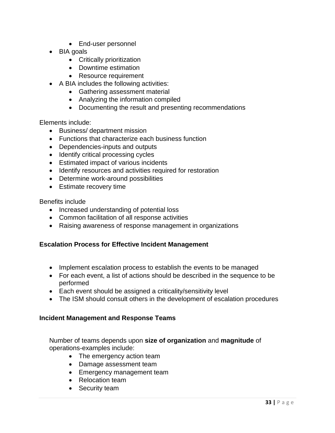- End-user personnel
- BIA goals
	- Critically prioritization
	- Downtime estimation
	- Resource requirement
- A BIA includes the following activities:
	- Gathering assessment material
	- Analyzing the information compiled
	- Documenting the result and presenting recommendations

Elements include:

- Business/ department mission
- Functions that characterize each business function
- Dependencies-inputs and outputs
- Identify critical processing cycles
- Estimated impact of various incidents
- Identify resources and activities required for restoration
- Determine work-around possibilities
- Estimate recovery time

Benefits include

- Increased understanding of potential loss
- Common facilitation of all response activities
- Raising awareness of response management in organizations

#### **Escalation Process for Effective Incident Management**

- Implement escalation process to establish the events to be managed
- For each event, a list of actions should be described in the sequence to be performed
- Each event should be assigned a criticality/sensitivity level
- The ISM should consult others in the development of escalation procedures

#### **Incident Management and Response Teams**

Number of teams depends upon **size of organization** and **magnitude** of operations-examples include:

- The emergency action team
- Damage assessment team
- Emergency management team
- Relocation team
- Security team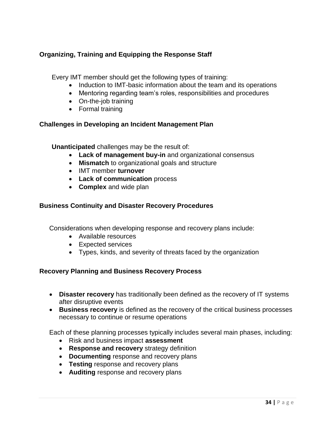#### **Organizing, Training and Equipping the Response Staff**

Every IMT member should get the following types of training:

- Induction to IMT-basic information about the team and its operations
- Mentoring regarding team's roles, responsibilities and procedures
- On-the-job training
- Formal training

#### **Challenges in Developing an Incident Management Plan**

**Unanticipated** challenges may be the result of:

- **Lack of management buy-in** and organizational consensus
- **Mismatch** to organizational goals and structure
- IMT member **turnover**
- **Lack of communication** process
- **Complex** and wide plan

#### **Business Continuity and Disaster Recovery Procedures**

Considerations when developing response and recovery plans include:

- Available resources
- Expected services
- Types, kinds, and severity of threats faced by the organization

#### **Recovery Planning and Business Recovery Process**

- **Disaster recovery** has traditionally been defined as the recovery of IT systems after disruptive events
- **Business recovery** is defined as the recovery of the critical business processes necessary to continue or resume operations

Each of these planning processes typically includes several main phases, including:

- Risk and business impact **assessment**
- **Response and recovery** strategy definition
- **Documenting** response and recovery plans
- **Testing** response and recovery plans
- **Auditing** response and recovery plans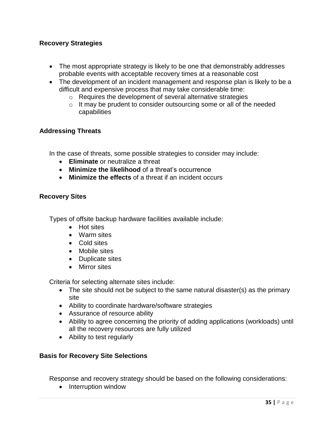#### **Recovery Strategies**

- The most appropriate strategy is likely to be one that demonstrably addresses probable events with acceptable recovery times at a reasonable cost
- The development of an incident management and response plan is likely to be a difficult and expensive process that may take considerable time:
	- o Requires the development of several alternative strategies
	- $\circ$  It may be prudent to consider outsourcing some or all of the needed capabilities

#### **Addressing Threats**

In the case of threats, some possible strategies to consider may include:

- **Eliminate** or neutralize a threat
- **Minimize the likelihood** of a threat's occurrence
- **Minimize the effects** of a threat if an incident occurs

#### **Recovery Sites**

Types of offsite backup hardware facilities available include:

- Hot sites
- Warm sites
- Cold sites
- Mobile sites
- Duplicate sites
- Mirror sites

Criteria for selecting alternate sites include:

- The site should not be subject to the same natural disaster(s) as the primary site
- Ability to coordinate hardware/software strategies
- Assurance of resource ability
- Ability to agree concerning the priority of adding applications (workloads) until all the recovery resources are fully utilized
- Ability to test regularly

#### **Basis for Recovery Site Selections**

Response and recovery strategy should be based on the following considerations:

• Interruption window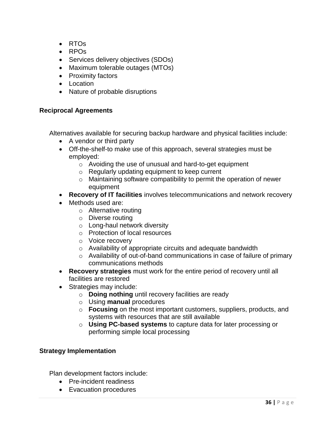- RTOs
- RPOs
- Services delivery objectives (SDOs)
- Maximum tolerable outages (MTOs)
- Proximity factors
- Location
- Nature of probable disruptions

#### **Reciprocal Agreements**

Alternatives available for securing backup hardware and physical facilities include:

- A vendor or third party
- Off-the-shelf-to make use of this approach, several strategies must be employed:
	- o Avoiding the use of unusual and hard-to-get equipment
	- o Regularly updating equipment to keep current
	- o Maintaining software compatibility to permit the operation of newer equipment
- **Recovery of IT facilities** involves telecommunications and network recovery
- Methods used are:
	- o Alternative routing
	- o Diverse routing
	- o Long-haul network diversity
	- o Protection of local resources
	- o Voice recovery
	- o Availability of appropriate circuits and adequate bandwidth
	- o Availability of out-of-band communications in case of failure of primary communications methods
- **Recovery strategies** must work for the entire period of recovery until all facilities are restored
- Strategies may include:
	- o **Doing nothing** until recovery facilities are ready
	- o Using **manual** procedures
	- o **Focusing** on the most important customers, suppliers, products, and systems with resources that are still available
	- o **Using PC-based systems** to capture data for later processing or performing simple local processing

#### **Strategy Implementation**

Plan development factors include:

- Pre-incident readiness
- Evacuation procedures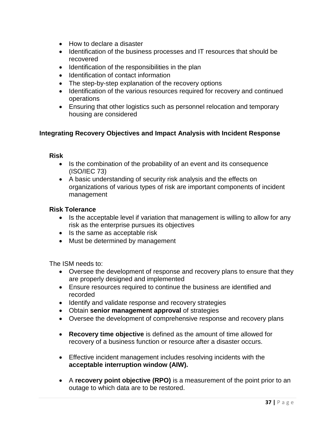- How to declare a disaster
- Identification of the business processes and IT resources that should be recovered
- Identification of the responsibilities in the plan
- Identification of contact information
- The step-by-step explanation of the recovery options
- Identification of the various resources required for recovery and continued operations
- Ensuring that other logistics such as personnel relocation and temporary housing are considered

#### **Integrating Recovery Objectives and Impact Analysis with Incident Response**

#### **Risk**

- Is the combination of the probability of an event and its consequence (ISO/IEC 73)
- A basic understanding of security risk analysis and the effects on organizations of various types of risk are important components of incident management

#### **Risk Tolerance**

- Is the acceptable level if variation that management is willing to allow for any risk as the enterprise pursues its objectives
- Is the same as acceptable risk
- Must be determined by management

The ISM needs to:

- Oversee the development of response and recovery plans to ensure that they are properly designed and implemented
- Ensure resources required to continue the business are identified and recorded
- Identify and validate response and recovery strategies
- Obtain **senior management approval** of strategies
- Oversee the development of comprehensive response and recovery plans
- **Recovery time objective** is defined as the amount of time allowed for recovery of a business function or resource after a disaster occurs.
- Effective incident management includes resolving incidents with the **acceptable interruption window (AIW).**
- A **recovery point objective (RPO)** is a measurement of the point prior to an outage to which data are to be restored.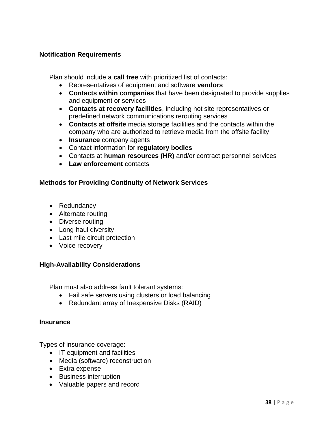#### **Notification Requirements**

Plan should include a **call tree** with prioritized list of contacts:

- Representatives of equipment and software **vendors**
- **Contacts within companies** that have been designated to provide supplies and equipment or services
- **Contacts at recovery facilities**, including hot site representatives or predefined network communications rerouting services
- **Contacts at offsite** media storage facilities and the contacts within the company who are authorized to retrieve media from the offsite facility
- **Insurance** company agents
- Contact information for **regulatory bodies**
- Contacts at **human resources (HR)** and/or contract personnel services
- **Law enforcement** contacts

#### **Methods for Providing Continuity of Network Services**

- Redundancy
- Alternate routing
- Diverse routing
- Long-haul diversity
- Last mile circuit protection
- Voice recovery

#### **High-Availability Considerations**

Plan must also address fault tolerant systems:

- Fail safe servers using clusters or load balancing
- Redundant array of Inexpensive Disks (RAID)

#### **Insurance**

Types of insurance coverage:

- IT equipment and facilities
- Media (software) reconstruction
- Extra expense
- Business interruption
- Valuable papers and record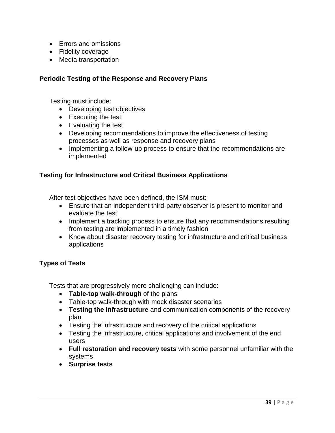- Errors and omissions
- Fidelity coverage
- Media transportation

#### **Periodic Testing of the Response and Recovery Plans**

Testing must include:

- Developing test objectives
- Executing the test
- Evaluating the test
- Developing recommendations to improve the effectiveness of testing processes as well as response and recovery plans
- Implementing a follow-up process to ensure that the recommendations are implemented

#### **Testing for Infrastructure and Critical Business Applications**

After test objectives have been defined, the ISM must:

- Ensure that an independent third-party observer is present to monitor and evaluate the test
- Implement a tracking process to ensure that any recommendations resulting from testing are implemented in a timely fashion
- Know about disaster recovery testing for infrastructure and critical business applications

#### **Types of Tests**

Tests that are progressively more challenging can include:

- **Table-top walk-through** of the plans
- Table-top walk-through with mock disaster scenarios
- **Testing the infrastructure** and communication components of the recovery plan
- Testing the infrastructure and recovery of the critical applications
- Testing the infrastructure, critical applications and involvement of the end users
- **Full restoration and recovery tests** with some personnel unfamiliar with the systems
- **Surprise tests**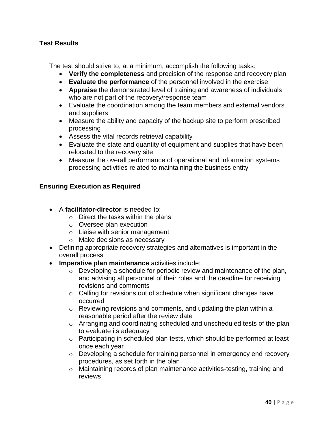#### **Test Results**

The test should strive to, at a minimum, accomplish the following tasks:

- **Verify the completeness** and precision of the response and recovery plan
- **Evaluate the performance** of the personnel involved in the exercise
- **Appraise** the demonstrated level of training and awareness of individuals who are not part of the recovery/response team
- Evaluate the coordination among the team members and external vendors and suppliers
- Measure the ability and capacity of the backup site to perform prescribed processing
- Assess the vital records retrieval capability
- Evaluate the state and quantity of equipment and supplies that have been relocated to the recovery site
- Measure the overall performance of operational and information systems processing activities related to maintaining the business entity

#### **Ensuring Execution as Required**

- A **facilitator-director** is needed to:
	- $\circ$  Direct the tasks within the plans
	- o Oversee plan execution
	- o Liaise with senior management
	- o Make decisions as necessary
- Defining appropriate recovery strategies and alternatives is important in the overall process
- **Imperative plan maintenance** activities include:
	- o Developing a schedule for periodic review and maintenance of the plan, and advising all personnel of their roles and the deadline for receiving revisions and comments
	- $\circ$  Calling for revisions out of schedule when significant changes have occurred
	- $\circ$  Reviewing revisions and comments, and updating the plan within a reasonable period after the review date
	- o Arranging and coordinating scheduled and unscheduled tests of the plan to evaluate its adequacy
	- o Participating in scheduled plan tests, which should be performed at least once each year
	- o Developing a schedule for training personnel in emergency end recovery procedures, as set forth in the plan
	- o Maintaining records of plan maintenance activities-testing, training and reviews